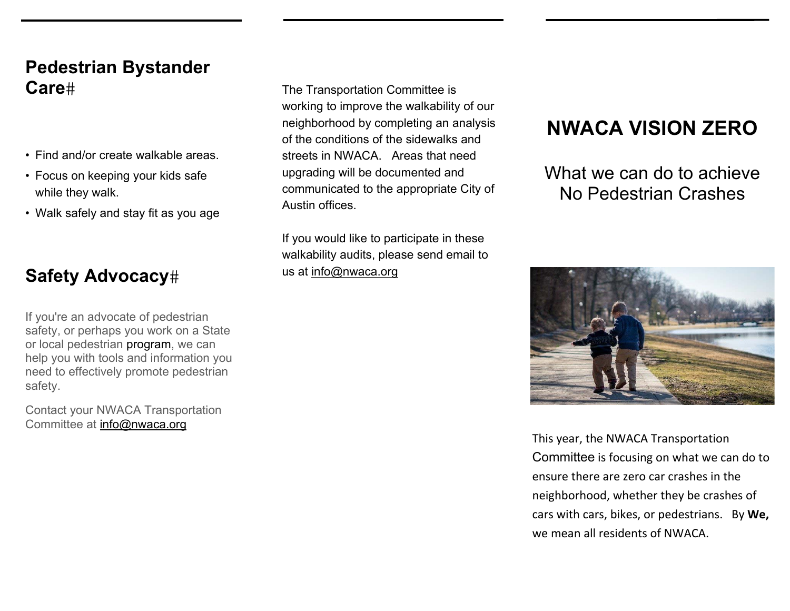#### **Pedestrian Bystander Care**

- Find and/or create walkable areas.
- Focus on keeping your kids safe while they walk.
- Walk safely and stay fit as you age

#### **Safety Advocacy**

oarcy, or pornapcycle mornion a cull<br>or local pedestrian program, we can If you're an advocate of pedestrian safety, or perhaps you work on a State help you with tools and information you need to effectively promote pedestrian safety.

Contact your NWACA Transportation Committee at info@nwaca.org

The Transportation Committee is working to improve the walkability of our neighborhood by completing an analysis of the conditions of the sidewalks and streets in NWACA. Areas that need upgrading will be documented and communicated to the appropriate City of Austin offices.

If you would like to participate in these walkability audits, please send email to us at info@nwaca.org

## **NWACA VISION ZERO**

What we can do to achieve No Pedestrian Crashes



This year, the NWACA Transportation Committee is focusing on what we can do to ensure there are zero car crashes in the neighborhood, whether they be crashes of cars with cars, bikes, or pedestrians. By **We,**  we mean all residents of NWACA.